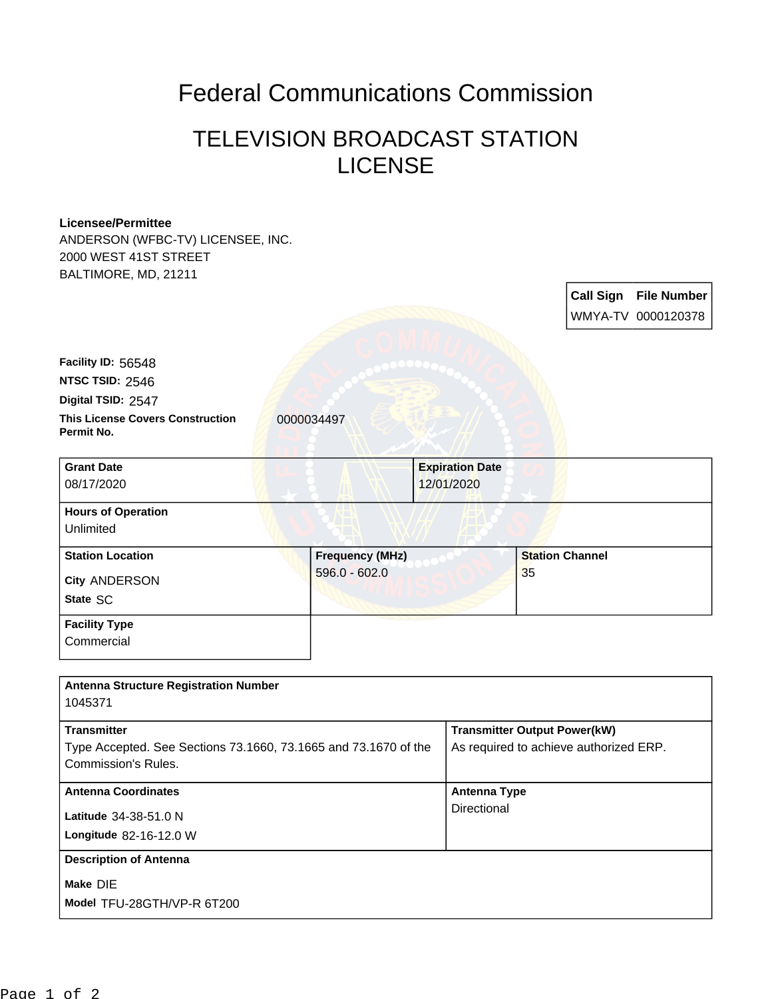## Federal Communications Commission

## TELEVISION BROADCAST STATION **LICENSE**

## **Licensee/Permittee**

ANDERSON (WFBC-TV) LICENSEE, INC. 2000 WEST 41ST STREET BALTIMORE, MD, 21211

> **Call Sign File Number** WMYA-TV 0000120378

**This License Covers Construction** 0000034497 **Permit No. Digital TSID:** 2547 **NTSC TSID:** 2546 **Facility ID:** 56548

| <b>Grant Date</b>                      | <b>Expiration Date</b> |                        |
|----------------------------------------|------------------------|------------------------|
| 08/17/2020                             | 12/01/2020             |                        |
| <b>Hours of Operation</b><br>Unlimited |                        |                        |
| <b>Station Location</b>                | <b>Frequency (MHz)</b> | <b>Station Channel</b> |
| City ANDERSON<br>State SC              | $596.0 - 602.0$        | 35                     |
| <b>Facility Type</b>                   |                        |                        |

**Commercial** 

| <b>Antenna Structure Registration Number</b><br>1045371                                                      |                                                                               |
|--------------------------------------------------------------------------------------------------------------|-------------------------------------------------------------------------------|
| <b>Transmitter</b><br>Type Accepted. See Sections 73.1660, 73.1665 and 73.1670 of the<br>Commission's Rules. | <b>Transmitter Output Power(kW)</b><br>As required to achieve authorized ERP. |
| <b>Antenna Coordinates</b><br>Latitude 34-38-51.0 N<br><b>Longitude 82-16-12.0 W</b>                         | <b>Antenna Type</b><br>Directional                                            |
| <b>Description of Antenna</b><br>Make DIE<br>Model TFU-28GTH/VP-R 6T200                                      |                                                                               |